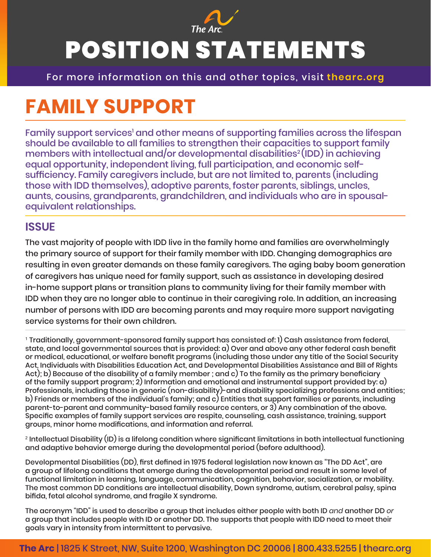

# POSITION STATEMENTS

For more information on this and other topics, visit **thearc.org**

## **FAMILY SUPPORT**

Family support services<sup>1</sup> and other means of supporting families across the lifespan should be available to all families to strengthen their capacities to support family members with intellectual and/or developmental disabilities<sup>2</sup> (IDD) in achieving equal opportunity, independent living, full participation, and economic selfsufficiency. Family caregivers include, but are not limited to, parents (including those with IDD themselves), adoptive parents, foster parents, siblings, uncles, aunts, cousins, grandparents, grandchildren, and individuals who are in spousalequivalent relationships.

#### **ISSUE**

The vast majority of people with IDD live in the family home and families are overwhelmingly the primary source of support for their family member with IDD. Changing demographics are resulting in even greater demands on these family caregivers. The aging baby boom generation of caregivers has unique need for family support, such as assistance in developing desired in-home support plans or transition plans to community living for their family member with IDD when they are no longer able to continue in their caregiving role. In addition, an increasing number of persons with IDD are becoming parents and may require more support navigating service systems for their own children.

1 Traditionally, government-sponsored family support has consisted of: 1) Cash assistance from federal, state, and local governmental sources that is provided: a) Over and above any other federal cash benefit or medical, educational, or welfare benefit programs (including those under any title of the Social Security Act, Individuals with Disabilities Education Act, and Developmental Disabilities Assistance and Bill of Rights Act); b) Because of the disability of a family member ; and c) To the family as the primary beneficiary of the family support program; 2) Information and emotional and instrumental support provided by: a) Professionals, including those in generic (non-disability)-and disability specializing professions and entities; b) Friends or members of the individual's family; and c) Entities that support families or parents, including parent-to-parent and community-based family resource centers, or 3) Any combination of the above. Specific examples of family support services are respite, counseling, cash assistance, training, support groups, minor home modifications, and information and referral.

2 Intellectual Disability (ID) is a lifelong condition where significant limitations in both intellectual functioning and adaptive behavior emerge during the developmental period (before adulthood).

Developmental Disabilities (DD), first defined in 1975 federal legislation now known as "The DD Act", are a group of lifelong conditions that emerge during the developmental period and result in some level of functional limitation in learning, language, communication, cognition, behavior, socialization, or mobility. The most common DD conditions are intellectual disability, Down syndrome, autism, cerebral palsy, spina bifida, fetal alcohol syndrome, and fragile X syndrome.

The acronym "IDD" is used to describe a group that includes either people with both ID *and* another DD *or* a group that includes people with ID or another DD. The supports that people with IDD need to meet their goals vary in intensity from intermittent to pervasive.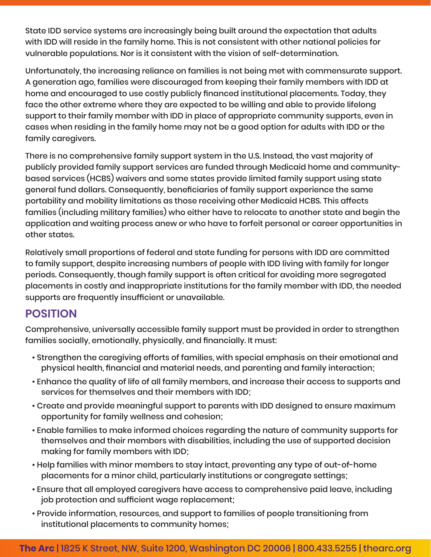State IDD service systems are increasingly being built around the expectation that adults with IDD will reside in the family home. This is not consistent with other national policies for vulnerable populations. Nor is it consistent with the vision of self-determination.

Unfortunately, the increasing reliance on families is not being met with commensurate support. A generation ago, families were discouraged from keeping their family members with IDD at home and encouraged to use costly publicly financed institutional placements. Today, they face the other extreme where they are expected to be willing and able to provide lifelong support to their family member with IDD in place of appropriate community supports, even in cases when residing in the family home may not be a good option for adults with IDD or the family caregivers.

There is no comprehensive family support system in the U.S. Instead, the vast majority of publicly provided family support services are funded through Medicaid home and communitybased services (HCBS) waivers and some states provide limited family support using state general fund dollars. Consequently, beneficiaries of family support experience the same portability and mobility limitations as those receiving other Medicaid HCBS. This affects families (including military families) who either have to relocate to another state and begin the application and waiting process anew or who have to forfeit personal or career opportunities in other states.

Relatively small proportions of federal and state funding for persons with IDD are committed to family support, despite increasing numbers of people with IDD living with family for longer periods. Consequently, though family support is often critical for avoiding more segregated placements in costly and inappropriate institutions for the family member with IDD, the needed supports are frequently insufficient or unavailable.

### **POSITION**

Comprehensive, universally accessible family support must be provided in order to strengthen families socially, emotionally, physically, and financially. It must:

- Strengthen the caregiving efforts of families, with special emphasis on their emotional and physical health, financial and material needs, and parenting and family interaction;
- Enhance the quality of life of all family members, and increase their access to supports and services for themselves and their members with IDD;
- Create and provide meaningful support to parents with IDD designed to ensure maximum opportunity for family wellness and cohesion;
- Enable families to make informed choices regarding the nature of community supports for themselves and their members with disabilities, including the use of supported decision making for family members with IDD;
- Help families with minor members to stay intact, preventing any type of out-of-home placements for a minor child, particularly institutions or congregate settings;
- Ensure that all employed caregivers have access to comprehensive paid leave, including job protection and sufficient wage replacement;
- Provide information, resources, and support to families of people transitioning from institutional placements to community homes;